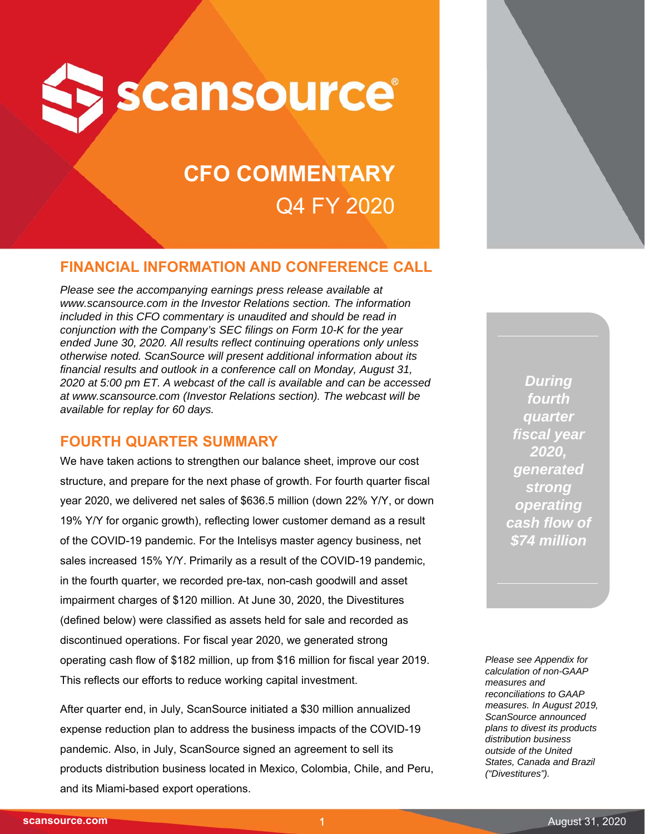

# **CFO COMMENTARY** Q4 FY 2020

## **FINANCIAL INFORMATION AND CONFERENCE CALL**

*Please see the accompanying earnings press release available at www.scansource.com in the Investor Relations section. The information included in this CFO commentary is unaudited and should be read in conjunction with the Company's SEC filings on Form 10-K for the year ended June 30, 2020. All results reflect continuing operations only unless otherwise noted. ScanSource will present additional information about its financial results and outlook in a conference call on Monday, August 31, 2020 at 5:00 pm ET. A webcast of the call is available and can be accessed at www.scansource.com (Investor Relations section). The webcast will be available for replay for 60 days.*

## **FOURTH QUARTER SUMMARY**

We have taken actions to strengthen our balance sheet, improve our cost structure, and prepare for the next phase of growth. For fourth quarter fiscal year 2020, we delivered net sales of \$636.5 million (down 22% Y/Y, or down 19% Y/Y for organic growth), reflecting lower customer demand as a result of the COVID-19 pandemic. For the Intelisys master agency business, net sales increased 15% Y/Y. Primarily as a result of the COVID-19 pandemic, in the fourth quarter, we recorded pre-tax, non-cash goodwill and asset impairment charges of \$120 million. At June 30, 2020, the Divestitures (defined below) were classified as assets held for sale and recorded as discontinued operations. For fiscal year 2020, we generated strong operating cash flow of \$182 million, up from \$16 million for fiscal year 2019. This reflects our efforts to reduce working capital investment.

After quarter end, in July, ScanSource initiated a \$30 million annualized expense reduction plan to address the business impacts of the COVID-19 pandemic. Also, in July, ScanSource signed an agreement to sell its products distribution business located in Mexico, Colombia, Chile, and Peru, and its Miami-based export operations.

*During fourth quarter fiscal year 2020, generated strong operating cash flow of \$74 million*

*Please see Appendix for calculation of non-GAAP measures and reconciliations to GAAP measures. In August 2019, ScanSource announced plans to divest its products distribution business outside of the United States, Canada and Brazil ("Divestitures").*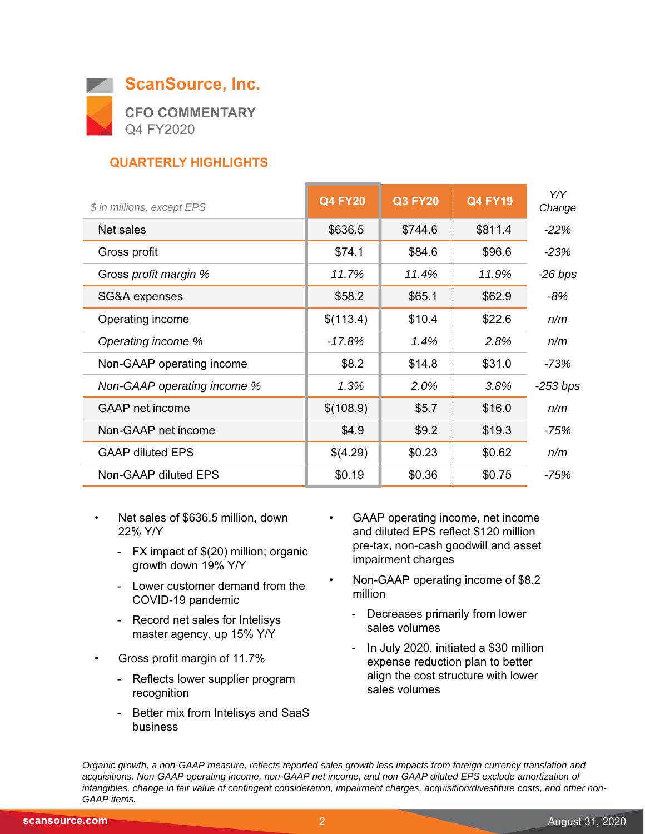

## **QUARTERLY HIGHLIGHTS**

| \$ in millions, except EPS  | <b>Q4 FY20</b> | <b>Q3 FY20</b> | <b>Q4 FY19</b> | Y/Y<br>Change |
|-----------------------------|----------------|----------------|----------------|---------------|
| Net sales                   | \$636.5        | \$744.6        | \$811.4        | $-22%$        |
| Gross profit                | \$74.1         | \$84.6         | \$96.6         | $-23%$        |
| Gross profit margin %       | 11.7%          | 11.4%          | 11.9%          | $-26$ bps     |
| SG&A expenses               | \$58.2         | \$65.1         | \$62.9         | $-8%$         |
| Operating income            | \$(113.4)      | \$10.4         | \$22.6         | n/m           |
| Operating income %          | $-17.8%$       | 1.4%           | 2.8%           | n/m           |
| Non-GAAP operating income   | \$8.2          | \$14.8         | \$31.0         | -73%          |
| Non-GAAP operating income % | 1.3%           | 2.0%           | 3.8%           | $-253$ bps    |
| <b>GAAP</b> net income      | \$(108.9)      | \$5.7          | \$16.0         | n/m           |
| Non-GAAP net income         | \$4.9          | \$9.2          | \$19.3         | -75%          |
| <b>GAAP diluted EPS</b>     | \$(4.29)       | \$0.23         | \$0.62         | n/m           |
| Non-GAAP diluted EPS        | \$0.19         | \$0.36         | \$0.75         | -75%          |

- Net sales of \$636.5 million, down 22% Y/Y
	- FX impact of \$(20) million; organic growth down 19% Y/Y
	- Lower customer demand from the COVID-19 pandemic
	- Record net sales for Intelisys master agency, up 15% Y/Y
- Gross profit margin of 11.7%
	- Reflects lower supplier program recognition
	- Better mix from Intelisys and SaaS business
- GAAP operating income, net income and diluted EPS reflect \$120 million pre-tax, non-cash goodwill and asset impairment charges
- Non-GAAP operating income of \$8.2 million
	- Decreases primarily from lower sales volumes
	- In July 2020, initiated a \$30 million expense reduction plan to better align the cost structure with lower sales volumes

*Organic growth, a non-GAAP measure, reflects reported sales growth less impacts from foreign currency translation and acquisitions. Non-GAAP operating income, non-GAAP net income, and non-GAAP diluted EPS exclude amortization of intangibles, change in fair value of contingent consideration, impairment charges, acquisition/divestiture costs, and other non-GAAP items.*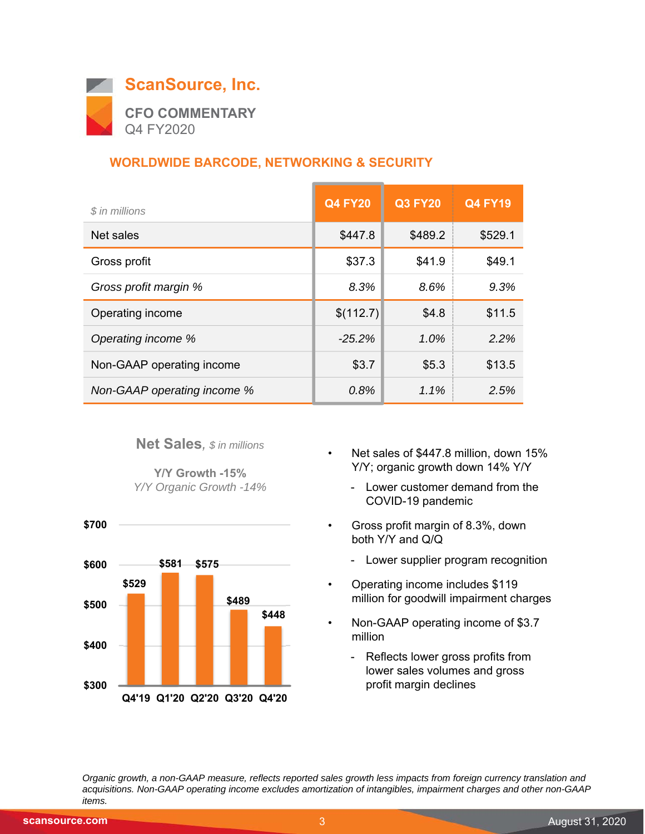

## **WORLDWIDE BARCODE, NETWORKING & SECURITY**

| \$ in millions              | <b>Q4 FY20</b> | <b>Q3 FY20</b> | <b>Q4 FY19</b> |
|-----------------------------|----------------|----------------|----------------|
| Net sales                   | \$447.8        | \$489.2        | \$529.1        |
| Gross profit                | \$37.3         | \$41.9         | \$49.1         |
| Gross profit margin %       | 8.3%           | 8.6%           | 9.3%           |
| Operating income            | \$(112.7)      | \$4.8          | \$11.5         |
| Operating income %          | $-25.2%$       | 1.0%           | 2.2%           |
| Non-GAAP operating income   | \$3.7          | \$5.3          | \$13.5         |
| Non-GAAP operating income % | 0.8%           | $1.1\%$        | 2.5%           |

**Net Sales***, \$ in millions*

**Y/Y Growth -15%** *Y/Y Organic Growth -14%*



- Net sales of \$447.8 million, down 15% Y/Y; organic growth down 14% Y/Y
	- Lower customer demand from the COVID-19 pandemic
- Gross profit margin of 8.3%, down both Y/Y and Q/Q
	- Lower supplier program recognition
- Operating income includes \$119 million for goodwill impairment charges
- Non-GAAP operating income of \$3.7 million
	- Reflects lower gross profits from lower sales volumes and gross profit margin declines

*Organic growth, a non-GAAP measure, reflects reported sales growth less impacts from foreign currency translation and acquisitions. Non-GAAP operating income excludes amortization of intangibles, impairment charges and other non-GAAP items.*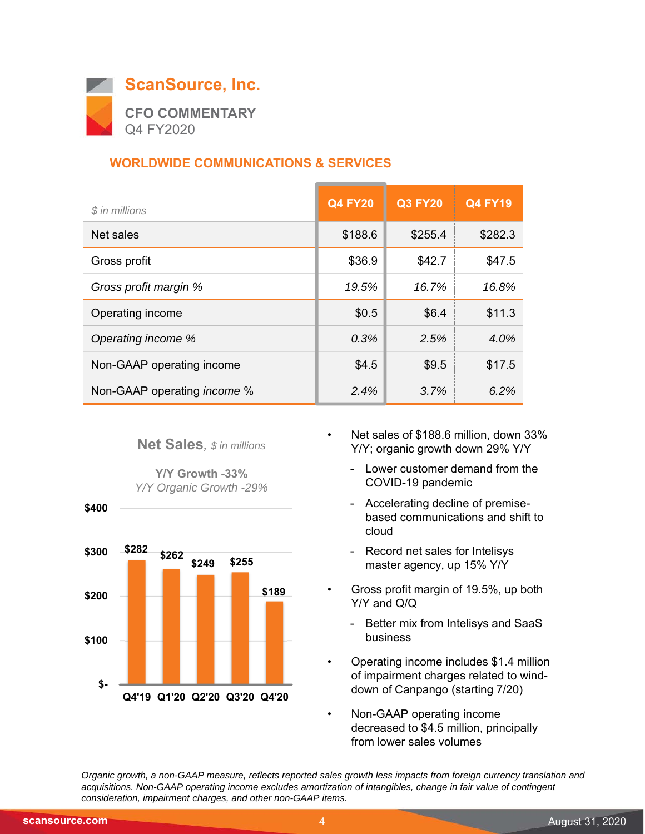

## **WORLDWIDE COMMUNICATIONS & SERVICES**

| \$ in millions                     | <b>Q4 FY20</b> | <b>Q3 FY20</b> | <b>Q4 FY19</b> |
|------------------------------------|----------------|----------------|----------------|
| Net sales                          | \$188.6        | \$255.4        | \$282.3        |
| Gross profit                       | \$36.9         | \$42.7         | \$47.5         |
| Gross profit margin %              | 19.5%          | 16.7%          | 16.8%          |
| Operating income                   | \$0.5          | \$6.4          | \$11.3         |
| Operating income %                 | 0.3%           | 2.5%           | 4.0%           |
| Non-GAAP operating income          | \$4.5          | \$9.5          | \$17.5         |
| Non-GAAP operating <i>income</i> % | 2.4%           | 3.7%           | 6.2%           |



**Y/Y Growth -33%** *Y/Y Organic Growth -29%*



- Net sales of \$188.6 million, down 33% Y/Y; organic growth down 29% Y/Y
	- Lower customer demand from the COVID-19 pandemic
	- Accelerating decline of premisebased communications and shift to cloud
	- Record net sales for Intelisys master agency, up 15% Y/Y
- Gross profit margin of 19.5%, up both Y/Y and Q/Q
	- Better mix from Intelisys and SaaS business
- Operating income includes \$1.4 million of impairment charges related to winddown of Canpango (starting 7/20)
- Non-GAAP operating income decreased to \$4.5 million, principally from lower sales volumes

*Organic growth, a non-GAAP measure, reflects reported sales growth less impacts from foreign currency translation and acquisitions. Non-GAAP operating income excludes amortization of intangibles, change in fair value of contingent consideration, impairment charges, and other non-GAAP items.*

 **\$400**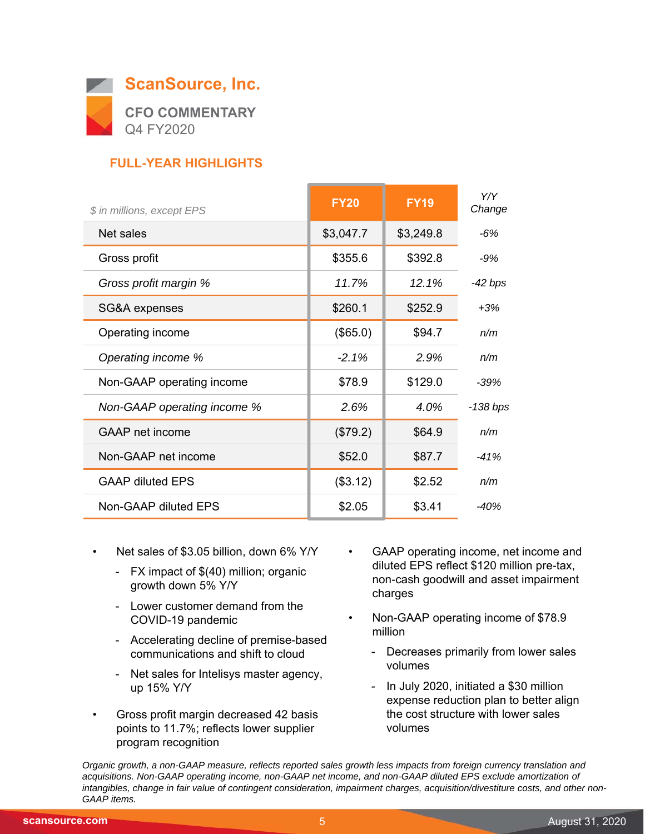

## **FULL-YEAR HIGHLIGHTS**

| \$ in millions, except EPS  | <b>FY20</b> | <b>FY19</b> | Y/Y<br>Change |
|-----------------------------|-------------|-------------|---------------|
| Net sales                   | \$3,047.7   | \$3,249.8   | -6%           |
| Gross profit                | \$355.6     | \$392.8     | $-9%$         |
| Gross profit margin %       | 11.7%       | 12.1%       | -42 bps       |
| SG&A expenses               | \$260.1     | \$252.9     | $+3%$         |
| Operating income            | (\$65.0)    | \$94.7      | n/m           |
| Operating income %          | $-2.1\%$    | 2.9%        | n/m           |
| Non-GAAP operating income   | \$78.9      | \$129.0     | $-39%$        |
| Non-GAAP operating income % | 2.6%        | 4.0%        | -138 bps      |
| GAAP net income             | (\$79.2)    | \$64.9      | n/m           |
| Non-GAAP net income         | \$52.0      | \$87.7      | $-41%$        |
| <b>GAAP diluted EPS</b>     | (\$3.12)    | \$2.52      | n/m           |
| Non-GAAP diluted EPS        | \$2.05      | \$3.41      | $-40%$        |

- Net sales of \$3.05 billion, down 6% Y/Y
	- FX impact of \$(40) million; organic growth down 5% Y/Y
	- Lower customer demand from the COVID-19 pandemic
	- Accelerating decline of premise-based communications and shift to cloud
	- Net sales for Intelisys master agency, up 15% Y/Y
- Gross profit margin decreased 42 basis points to 11.7%; reflects lower supplier program recognition
- GAAP operating income, net income and diluted EPS reflect \$120 million pre-tax, non-cash goodwill and asset impairment charges
- Non-GAAP operating income of \$78.9 million
	- Decreases primarily from lower sales volumes
	- In July 2020, initiated a \$30 million expense reduction plan to better align the cost structure with lower sales volumes

*Organic growth, a non-GAAP measure, reflects reported sales growth less impacts from foreign currency translation and*  acquisitions. Non-GAAP operating income, non-GAAP net income, and non-GAAP diluted EPS exclude amortization of *intangibles, change in fair value of contingent consideration, impairment charges, acquisition/divestiture costs, and other non-GAAP items.*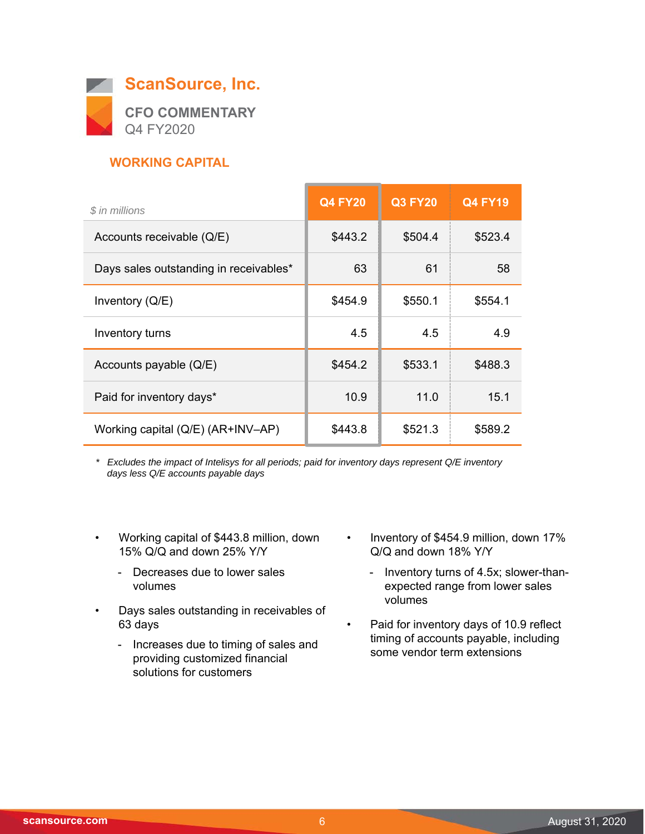

## **WORKING CAPITAL**

| \$ in millions                         | <b>Q4 FY20</b> | <b>Q3 FY20</b> | <b>Q4 FY19</b> |
|----------------------------------------|----------------|----------------|----------------|
| Accounts receivable (Q/E)              | \$443.2        | \$504.4        | \$523.4        |
| Days sales outstanding in receivables* | 63             | 61             | 58             |
| Inventory $(Q/E)$                      | \$454.9        | \$550.1        | \$554.1        |
| Inventory turns                        | 4.5            | 4.5            | 4.9            |
| Accounts payable $(Q/E)$               | \$454.2        | \$533.1        | \$488.3        |
| Paid for inventory days*               | 10.9           | 11.0           | 15.1           |
| Working capital (Q/E) (AR+INV-AP)      | \$443.8        | \$521.3        | \$589.2        |

*\* Excludes the impact of Intelisys for all periods; paid for inventory days represent Q/E inventory days less Q/E accounts payable days*

- Working capital of \$443.8 million, down 15% Q/Q and down 25% Y/Y
	- Decreases due to lower sales volumes
- Days sales outstanding in receivables of 63 days
	- Increases due to timing of sales and providing customized financial solutions for customers
- Inventory of \$454.9 million, down 17% Q/Q and down 18% Y/Y
	- Inventory turns of 4.5x; slower-thanexpected range from lower sales volumes
- Paid for inventory days of 10.9 reflect timing of accounts payable, including some vendor term extensions

 $\overline{\phantom{0}}$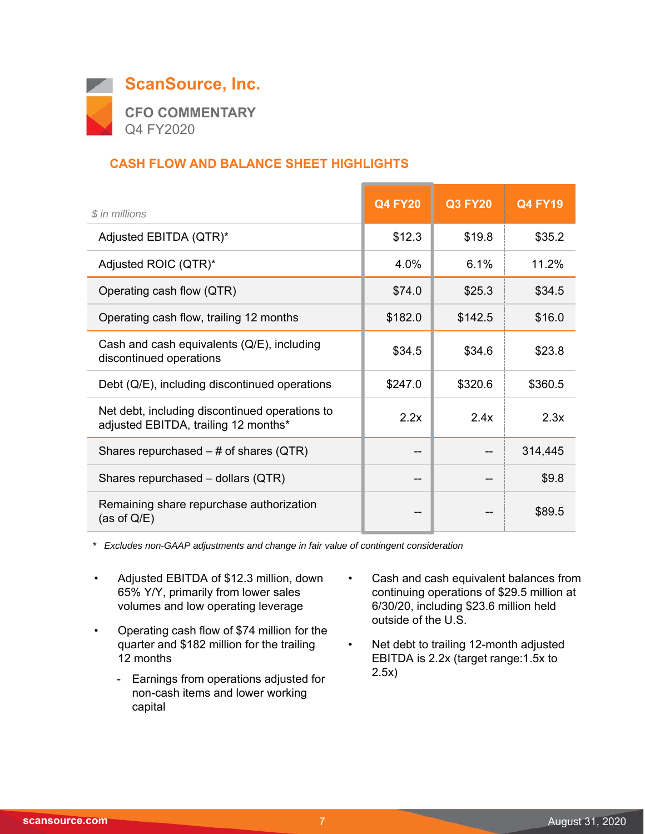

## **CASH FLOW AND BALANCE SHEET HIGHLIGHTS**

| \$ in millions                                                                         | <b>Q4 FY20</b> | <b>Q3 FY20</b> | <b>Q4 FY19</b> |
|----------------------------------------------------------------------------------------|----------------|----------------|----------------|
| Adjusted EBITDA (QTR)*                                                                 | \$12.3         | \$19.8         | \$35.2         |
| Adjusted ROIC (QTR)*                                                                   | $4.0\%$        | 6.1%           | 11.2%          |
| Operating cash flow (QTR)                                                              | \$74.0         | \$25.3         | \$34.5         |
| Operating cash flow, trailing 12 months                                                | \$182.0        | \$142.5        | \$16.0         |
| Cash and cash equivalents (Q/E), including<br>discontinued operations                  | \$34.5         | \$34.6         | \$23.8         |
| Debt (Q/E), including discontinued operations                                          | \$247.0        | \$320.6        | \$360.5        |
| Net debt, including discontinued operations to<br>adjusted EBITDA, trailing 12 months* | 2.2x           | 2.4x           | 2.3x           |
| Shares repurchased $-$ # of shares (QTR)                                               | --             |                | 314,445        |
| Shares repurchased - dollars (QTR)                                                     | --             |                | \$9.8          |
| Remaining share repurchase authorization<br>(as of $Q/E$ )                             | --             |                | \$89.5         |

*\* Excludes non-GAAP adjustments and change in fair value of contingent consideration*

- Adjusted EBITDA of \$12.3 million, down 65% Y/Y, primarily from lower sales volumes and low operating leverage
- Operating cash flow of \$74 million for the quarter and \$182 million for the trailing 12 months
	- Earnings from operations adjusted for non-cash items and lower working capital
- Cash and cash equivalent balances from continuing operations of \$29.5 million at 6/30/20, including \$23.6 million held outside of the U.S.
- Net debt to trailing 12-month adjusted EBITDA is 2.2x (target range:1.5x to 2.5x)

 $\overline{\phantom{0}}$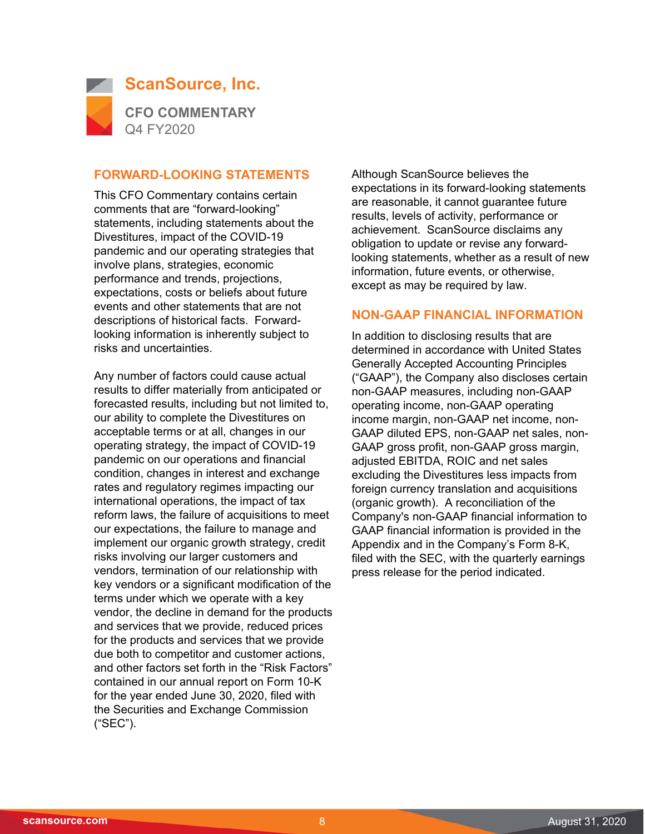

#### **FORWARD-LOOKING STATEMENTS**

This CFO Commentary contains certain comments that are "forward-looking" statements, including statements about the Divestitures, impact of the COVID-19 pandemic and our operating strategies that involve plans, strategies, economic performance and trends, projections, expectations, costs or beliefs about future events and other statements that are not descriptions of historical facts. Forwardlooking information is inherently subject to risks and uncertainties.

Any number of factors could cause actual results to differ materially from anticipated or forecasted results, including but not limited to, our ability to complete the Divestitures on acceptable terms or at all, changes in our operating strategy, the impact of COVID-19 pandemic on our operations and financial condition, changes in interest and exchange rates and regulatory regimes impacting our international operations, the impact of tax reform laws, the failure of acquisitions to meet our expectations, the failure to manage and implement our organic growth strategy, credit risks involving our larger customers and vendors, termination of our relationship with key vendors or a significant modification of the terms under which we operate with a key vendor, the decline in demand for the products and services that we provide, reduced prices for the products and services that we provide due both to competitor and customer actions, and other factors set forth in the "Risk Factors" contained in our annual report on Form 10-K for the year ended June 30, 2020, filed with the Securities and Exchange Commission ("SEC").

Although ScanSource believes the expectations in its forward-looking statements are reasonable, it cannot guarantee future results, levels of activity, performance or achievement. ScanSource disclaims any obligation to update or revise any forwardlooking statements, whether as a result of new information, future events, or otherwise, except as may be required by law.

#### **NON-GAAP FINANCIAL INFORMATION**

In addition to disclosing results that are determined in accordance with United States Generally Accepted Accounting Principles ("GAAP"), the Company also discloses certain non-GAAP measures, including non-GAAP operating income, non-GAAP operating income margin, non-GAAP net income, non-GAAP diluted EPS, non-GAAP net sales, non-GAAP gross profit, non-GAAP gross margin, adjusted EBITDA, ROIC and net sales excluding the Divestitures less impacts from foreign currency translation and acquisitions (organic growth). A reconciliation of the Company's non-GAAP financial information to GAAP financial information is provided in the Appendix and in the Company's Form 8-K, filed with the SEC, with the quarterly earnings press release for the period indicated.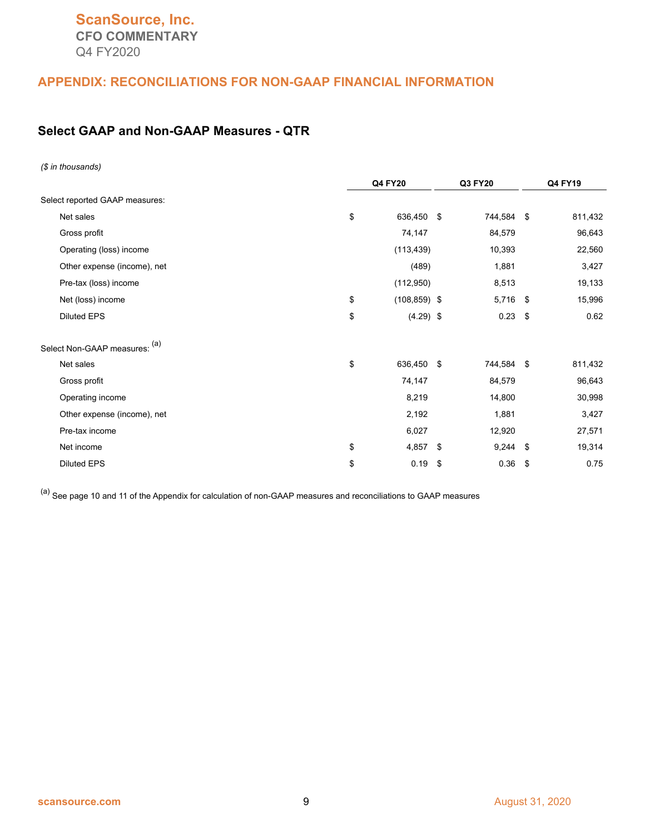## **ScanSource, Inc. CFO COMMENTARY** Q4 FY2020

#### **APPENDIX: RECONCILIATIONS FOR NON-GAAP FINANCIAL INFORMATION**

## **Select GAAP and Non-GAAP Measures - QTR**

| (\$ in thousands)              |                       |                 |         |
|--------------------------------|-----------------------|-----------------|---------|
|                                | <b>Q4 FY20</b>        | Q3 FY20         | Q4 FY19 |
| Select reported GAAP measures: |                       |                 |         |
| Net sales                      | \$<br>636,450 \$      | 744,584 \$      | 811,432 |
| Gross profit                   | 74,147                | 84,579          | 96,643  |
| Operating (loss) income        | (113, 439)            | 10,393          | 22,560  |
| Other expense (income), net    | (489)                 | 1,881           | 3,427   |
| Pre-tax (loss) income          | (112,950)             | 8,513           | 19,133  |
| Net (loss) income              | \$<br>$(108, 859)$ \$ | 5,716 \$        | 15,996  |
| <b>Diluted EPS</b>             | \$<br>$(4.29)$ \$     | $0.23$ \$       | 0.62    |
| Select Non-GAAP measures: (a)  |                       |                 |         |
| Net sales                      | \$<br>636,450 \$      | 744,584 \$      | 811,432 |
| Gross profit                   | 74,147                | 84,579          | 96,643  |
| Operating income               | 8,219                 | 14,800          | 30,998  |
| Other expense (income), net    | 2,192                 | 1,881           | 3,427   |
| Pre-tax income                 | 6,027                 | 12,920          | 27,571  |
| Net income                     | \$<br>$4,857$ \$      | $9,244$ \$      | 19,314  |
| <b>Diluted EPS</b>             | \$<br>0.19            | \$<br>$0.36$ \$ | 0.75    |

 $(a)$  See page 10 and 11 of the Appendix for calculation of non-GAAP measures and reconciliations to GAAP measures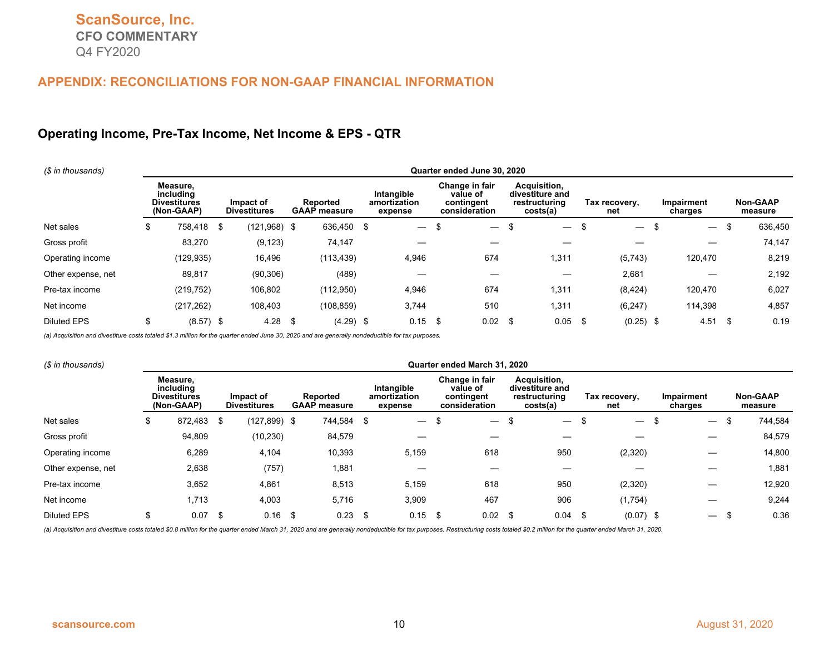#### **Operating Income, Pre-Tax Income, Net Income & EPS - QTR**

| (\$ in thousands)  | Quarter ended June 30, 2020 |                                                            |  |                                  |  |                                 |      |                                       |      |                                                           |    |                                                              |      |                          |    |                          |    |                            |
|--------------------|-----------------------------|------------------------------------------------------------|--|----------------------------------|--|---------------------------------|------|---------------------------------------|------|-----------------------------------------------------------|----|--------------------------------------------------------------|------|--------------------------|----|--------------------------|----|----------------------------|
|                    |                             | Measure.<br>including<br><b>Divestitures</b><br>(Non-GAAP) |  | Impact of<br><b>Divestitures</b> |  | Reported<br><b>GAAP</b> measure |      | Intangible<br>amortization<br>expense |      | Change in fair<br>value of<br>contingent<br>consideration |    | Acquisition,<br>divestiture and<br>restructuring<br>costs(a) |      | Tax recovery,<br>net     |    | Impairment<br>charges    |    | <b>Non-GAAP</b><br>measure |
| Net sales          | S                           | 758,418 \$                                                 |  | $(121,968)$ \$                   |  | 636,450 \$                      |      | $\overline{\phantom{m}}$              | \$   | $\overline{\phantom{0}}$                                  | \$ | $\hspace{0.1mm}-\hspace{0.1mm}$                              | - \$ | $\overline{\phantom{m}}$ | \$ | $\overline{\phantom{m}}$ | \$ | 636,450                    |
| Gross profit       |                             | 83,270                                                     |  | (9, 123)                         |  | 74,147                          |      |                                       |      |                                                           |    |                                                              |      |                          |    |                          |    | 74,147                     |
| Operating income   |                             | (129,935)                                                  |  | 16,496                           |  | (113, 439)                      |      | 4,946                                 |      | 674                                                       |    | 1,311                                                        |      | (5,743)                  |    | 120,470                  |    | 8,219                      |
| Other expense, net |                             | 89,817                                                     |  | (90, 306)                        |  | (489)                           |      |                                       |      |                                                           |    |                                                              |      | 2,681                    |    |                          |    | 2,192                      |
| Pre-tax income     |                             | (219, 752)                                                 |  | 106,802                          |  | (112,950)                       |      | 4,946                                 |      | 674                                                       |    | 1,311                                                        |      | (8, 424)                 |    | 120,470                  |    | 6,027                      |
| Net income         |                             | (217, 262)                                                 |  | 108,403                          |  | (108, 859)                      |      | 3,744                                 |      | 510                                                       |    | 1,311                                                        |      | (6, 247)                 |    | 114,398                  |    | 4,857                      |
| <b>Diluted EPS</b> |                             | $(8.57)$ \$                                                |  | 4.28                             |  | (4.29)                          | - \$ | 0.15                                  | - \$ | $0.02$ \$                                                 |    | 0.05                                                         |      | $(0.25)$ \$              |    | 4.51                     | \$ | 0.19                       |

*(a) Acquisition and divestiture costs totaled \$1.3 million for the quarter ended June 30, 2020 and are generally nondeductible for tax purposes.* 

| (\$ in thousands)  |                                                                                                |      |            |                                 |                                       |    |                                                           |     | Quarter ended March 31, 2020                                 |                      |                               |                       |                          |                            |   |         |
|--------------------|------------------------------------------------------------------------------------------------|------|------------|---------------------------------|---------------------------------------|----|-----------------------------------------------------------|-----|--------------------------------------------------------------|----------------------|-------------------------------|-----------------------|--------------------------|----------------------------|---|---------|
|                    | Measure,<br>includina<br><b>Divestitures</b><br>Impact of<br><b>Divestitures</b><br>(Non-GAAP) |      |            | Reported<br><b>GAAP</b> measure | Intangible<br>amortization<br>expense |    | Change in fair<br>value of<br>contingent<br>consideration |     | Acquisition,<br>divestiture and<br>restructuring<br>costs(a) | Tax recovery,<br>net |                               | Impairment<br>charges |                          | <b>Non-GAAP</b><br>measure |   |         |
| Net sales          | \$<br>872,483 \$                                                                               |      | (127, 899) | - \$                            | 744,584                               | \$ | $\overbrace{\phantom{12333}}$                             | ъ   | $\overline{\phantom{0}}$                                     | -\$                  | $\overbrace{\phantom{13333}}$ | ъ                     | $\overline{\phantom{0}}$ | $\overline{\phantom{0}}$   | S | 744,584 |
| Gross profit       | 94,809                                                                                         |      | (10, 230)  |                                 | 84,579                                |    |                                                           |     |                                                              |                      |                               |                       |                          |                            |   | 84,579  |
| Operating income   | 6,289                                                                                          |      | 4,104      |                                 | 10,393                                |    | 5,159                                                     |     | 618                                                          |                      | 950                           |                       | (2,320)                  |                            |   | 14,800  |
| Other expense, net | 2,638                                                                                          |      | (757)      |                                 | 1,881                                 |    |                                                           |     |                                                              |                      |                               |                       |                          |                            |   | 1,881   |
| Pre-tax income     | 3,652                                                                                          |      | 4,861      |                                 | 8,513                                 |    | 5,159                                                     |     | 618                                                          |                      | 950                           |                       | (2,320)                  |                            |   | 12,920  |
| Net income         | 1,713                                                                                          |      | 4,003      |                                 | 5,716                                 |    | 3,909                                                     |     | 467                                                          |                      | 906                           |                       | (1,754)                  |                            |   | 9,244   |
| <b>Diluted EPS</b> | \$<br>0.07                                                                                     | - \$ | 0.16       | \$                              | 0.23                                  | \$ | 0.15                                                      | -\$ | 0.02                                                         |                      | 0.04                          | S                     | $(0.07)$ \$              |                            |   | 0.36    |

(a) Acquisition and divestiture costs totaled \$0.8 million for the quarter ended March 31, 2020 and are generally nondeductible for tax purposes. Restructuring costs totaled \$0.2 million for the quarter ended March 31, 202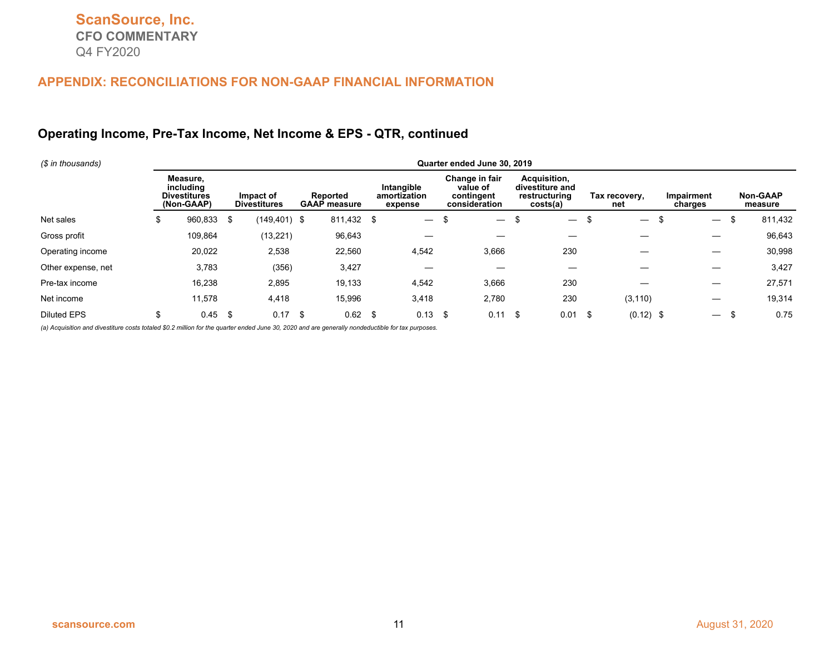## **Operating Income, Pre-Tax Income, Net Income & EPS - QTR, continued**

| (\$ in thousands)  | Quarter ended June 30, 2019 |                                                            |     |                                  |  |                                 |    |                                       |     |                                                           |    |                                                              |     |                          |    |                          |    |                            |
|--------------------|-----------------------------|------------------------------------------------------------|-----|----------------------------------|--|---------------------------------|----|---------------------------------------|-----|-----------------------------------------------------------|----|--------------------------------------------------------------|-----|--------------------------|----|--------------------------|----|----------------------------|
|                    |                             | Measure.<br>including<br><b>Divestitures</b><br>(Non-GAAP) |     | Impact of<br><b>Divestitures</b> |  | Reported<br><b>GAAP</b> measure |    | Intangible<br>amortization<br>expense |     | Change in fair<br>value of<br>contingent<br>consideration |    | Acquisition,<br>divestiture and<br>restructuring<br>costs(a) |     | Tax recovery,<br>net     |    | Impairment<br>charges    |    | <b>Non-GAAP</b><br>measure |
| Net sales          | \$                          | 960,833 \$                                                 |     | $(149, 401)$ \$                  |  | 811,432 \$                      |    | $\overline{\phantom{0}}$              | -\$ | $\overline{\phantom{0}}$                                  |    | $\overbrace{\phantom{12333}}$                                |     | $\overline{\phantom{0}}$ | \$ |                          | \$ | 811,432                    |
| Gross profit       |                             | 109,864                                                    |     | (13, 221)                        |  | 96,643                          |    |                                       |     |                                                           |    |                                                              |     |                          |    |                          |    | 96,643                     |
| Operating income   |                             | 20,022                                                     |     | 2,538                            |  | 22,560                          |    | 4,542                                 |     | 3,666                                                     |    | 230                                                          |     |                          |    |                          |    | 30,998                     |
| Other expense, net |                             | 3,783                                                      |     | (356)                            |  | 3,427                           |    |                                       |     |                                                           |    |                                                              |     |                          |    |                          |    | 3,427                      |
| Pre-tax income     |                             | 16,238                                                     |     | 2,895                            |  | 19,133                          |    | 4,542                                 |     | 3,666                                                     |    | 230                                                          |     |                          |    |                          |    | 27,571                     |
| Net income         |                             | 11,578                                                     |     | 4,418                            |  | 15,996                          |    | 3,418                                 |     | 2,780                                                     |    | 230                                                          |     | (3, 110)                 |    |                          |    | 19,314                     |
| <b>Diluted EPS</b> | Ъ                           | 0.45                                                       | -\$ | $0.17$ \$                        |  | 0.62                            | \$ | 0.13                                  | -\$ | 0.11                                                      | \$ | 0.01                                                         | -\$ | $(0.12)$ \$              |    | $\overline{\phantom{m}}$ | £. | 0.75                       |

*(a) Acquisition and divestiture costs totaled \$0.2 million for the quarter ended June 30, 2020 and are generally nondeductible for tax purposes.*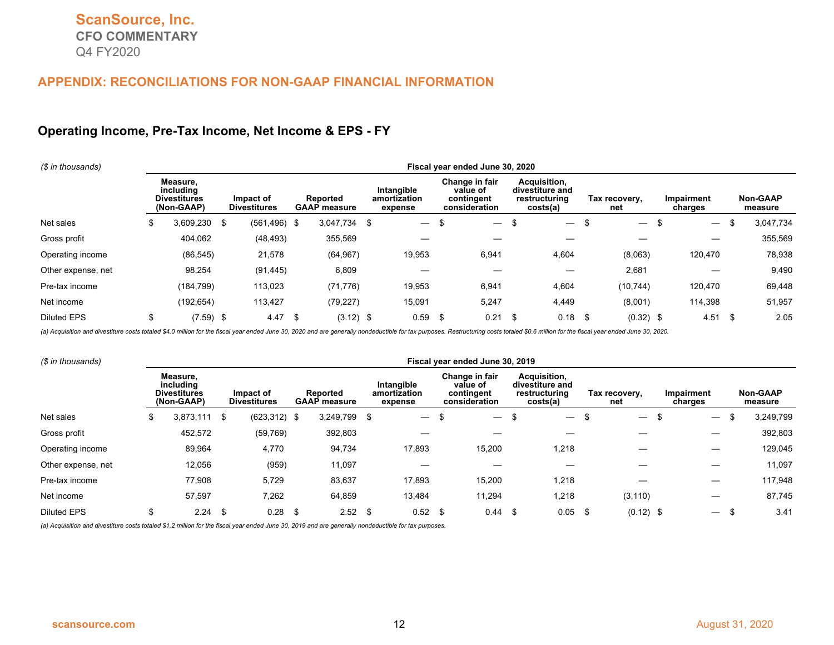#### **Operating Income, Pre-Tax Income, Net Income & EPS - FY**

| (\$ in thousands)  | Fiscal year ended June 30, 2020 |                                                            |    |                                  |     |                                 |  |                                       |    |                                                           |    |                                                              |   |                          |      |                          |    |                     |
|--------------------|---------------------------------|------------------------------------------------------------|----|----------------------------------|-----|---------------------------------|--|---------------------------------------|----|-----------------------------------------------------------|----|--------------------------------------------------------------|---|--------------------------|------|--------------------------|----|---------------------|
|                    |                                 | Measure,<br>includina<br><b>Divestitures</b><br>(Non-GAAP) |    | Impact of<br><b>Divestitures</b> |     | Reported<br><b>GAAP</b> measure |  | Intangible<br>amortization<br>expense |    | Change in fair<br>value of<br>contingent<br>consideration |    | Acquisition,<br>divestiture and<br>restructuring<br>costs(a) |   | Tax recovery,<br>net     |      | Impairment<br>charges    |    | Non-GAAP<br>measure |
| Net sales          | Φ                               | 3,609,230                                                  | \$ | $(561, 496)$ \$                  |     | 3,047,734 \$                    |  |                                       | \$ | $\hspace{0.1mm}-\hspace{0.1mm}$                           | \$ | $\overline{\phantom{0}}$                                     | ъ | $\overline{\phantom{0}}$ | ъ    | $\overline{\phantom{m}}$ | \$ | 3,047,734           |
| Gross profit       |                                 | 404,062                                                    |    | (48, 493)                        |     | 355,569                         |  |                                       |    |                                                           |    |                                                              |   |                          |      |                          |    | 355,569             |
| Operating income   |                                 | (86, 545)                                                  |    | 21,578                           |     | (64, 967)                       |  | 19,953                                |    | 6,941                                                     |    | 4,604                                                        |   | (8,063)                  |      | 120,470                  |    | 78,938              |
| Other expense, net |                                 | 98,254                                                     |    | (91, 445)                        |     | 6,809                           |  |                                       |    |                                                           |    |                                                              |   | 2,681                    |      |                          |    | 9,490               |
| Pre-tax income     |                                 | (184, 799)                                                 |    | 113,023                          |     | (71, 776)                       |  | 19,953                                |    | 6,941                                                     |    | 4,604                                                        |   | (10, 744)                |      | 120.470                  |    | 69,448              |
| Net income         |                                 | (192, 654)                                                 |    | 113,427                          |     | (79, 227)                       |  | 15,091                                |    | 5,247                                                     |    | 4,449                                                        |   | (8,001)                  |      | 114,398                  |    | 51,957              |
| <b>Diluted EPS</b> |                                 | $(7.59)$ \$                                                |    | 4.47                             | -\$ | $(3.12)$ \$                     |  | $0.59$ \$                             |    | 0.21                                                      |    | 0.18                                                         |   | (0.32)                   | - \$ | 4.51                     |    | 2.05                |

(a) Acquisition and divestiture costs totaled \$4.0 million for the fiscal year ended June 30, 2020 and are generally nondeductible for tax purposes. Restructuring costs totaled \$0.6 million for the fiscal year ended June 3

| (\$ in thousands)  | Fiscal year ended June 30, 2019 |                                                            |     |                                  |    |                                 |  |                                       |  |                                                           |     |                                                              |  |                          |  |                          |    |                            |
|--------------------|---------------------------------|------------------------------------------------------------|-----|----------------------------------|----|---------------------------------|--|---------------------------------------|--|-----------------------------------------------------------|-----|--------------------------------------------------------------|--|--------------------------|--|--------------------------|----|----------------------------|
|                    |                                 | Measure,<br>including<br><b>Divestitures</b><br>(Non-GAAP) |     | Impact of<br><b>Divestitures</b> |    | Reported<br><b>GAAP</b> measure |  | Intangible<br>amortization<br>expense |  | Change in fair<br>value of<br>contingent<br>consideration |     | Acquisition,<br>divestiture and<br>restructuring<br>costs(a) |  | Tax recovery,<br>net     |  | Impairment<br>charges    |    | <b>Non-GAAP</b><br>measure |
| Net sales          | S                               | 3,873,111                                                  | -\$ | $(623, 312)$ \$                  |    | 3,249,799                       |  | $\overline{\phantom{0}}$              |  | $\overline{\phantom{0}}$                                  | \$  | $\overline{\phantom{0}}$                                     |  | $\overline{\phantom{0}}$ |  | $\overline{\phantom{m}}$ | \$ | 3,249,799                  |
| Gross profit       |                                 | 452,572                                                    |     | (59, 769)                        |    | 392,803                         |  |                                       |  |                                                           |     |                                                              |  |                          |  |                          |    | 392,803                    |
| Operating income   |                                 | 89,964                                                     |     | 4,770                            |    | 94,734                          |  | 17,893                                |  | 15,200                                                    |     | 1,218                                                        |  |                          |  |                          |    | 129,045                    |
| Other expense, net |                                 | 12,056                                                     |     | (959)                            |    | 11,097                          |  |                                       |  |                                                           |     |                                                              |  |                          |  |                          |    | 11,097                     |
| Pre-tax income     |                                 | 77,908                                                     |     | 5,729                            |    | 83,637                          |  | 17,893                                |  | 15,200                                                    |     | 1,218                                                        |  |                          |  |                          |    | 117,948                    |
| Net income         |                                 | 57,597                                                     |     | 7,262                            |    | 64,859                          |  | 13,484                                |  | 11,294                                                    |     | 1,218                                                        |  | (3, 110)                 |  |                          |    | 87,745                     |
| <b>Diluted EPS</b> |                                 | 2.24                                                       | \$  | 0.28                             | \$ | 2.52                            |  | $0.52$ \$                             |  | 0.44                                                      | -\$ | 0.05                                                         |  | $(0.12)$ \$              |  | $\overline{\phantom{a}}$ |    | 3.41                       |

*(a) Acquisition and divestiture costs totaled \$1.2 million for the fiscal year ended June 30, 2019 and are generally nondeductible for tax purposes.*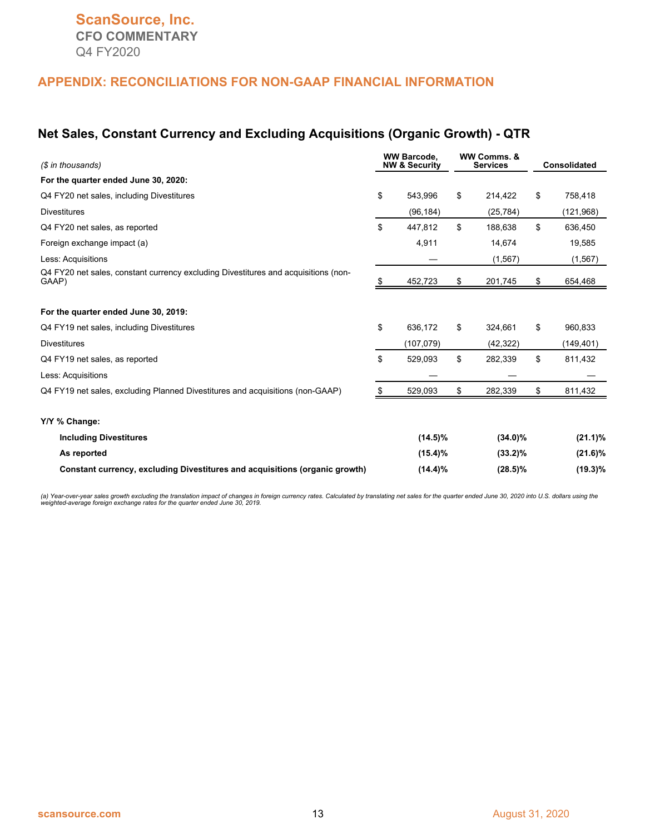#### **Net Sales, Constant Currency and Excluding Acquisitions (Organic Growth) - QTR**

| (\$ in thousands)                                                                           |    | <b>WW Barcode.</b><br><b>NW &amp; Security</b> |    | WW Comms. &<br><b>Services</b> | <b>Consolidated</b> |
|---------------------------------------------------------------------------------------------|----|------------------------------------------------|----|--------------------------------|---------------------|
| For the quarter ended June 30, 2020:                                                        |    |                                                |    |                                |                     |
| Q4 FY20 net sales, including Divestitures                                                   | \$ | 543.996                                        | \$ | 214,422                        | \$<br>758,418       |
| <b>Divestitures</b>                                                                         |    | (96, 184)                                      |    | (25, 784)                      | (121, 968)          |
| Q4 FY20 net sales, as reported                                                              | \$ | 447,812                                        | \$ | 188,638                        | \$<br>636,450       |
| Foreign exchange impact (a)                                                                 |    | 4,911                                          |    | 14,674                         | 19,585              |
| Less: Acquisitions                                                                          |    |                                                |    | (1, 567)                       | (1, 567)            |
| Q4 FY20 net sales, constant currency excluding Divestitures and acquisitions (non-<br>GAAP) |    | 452,723                                        | S  | 201,745                        | \$<br>654,468       |
| For the quarter ended June 30, 2019:                                                        |    |                                                |    |                                |                     |
| Q4 FY19 net sales, including Divestitures                                                   | \$ | 636,172                                        | \$ | 324,661                        | \$<br>960,833       |
| <b>Divestitures</b>                                                                         |    | (107,079)                                      |    | (42, 322)                      | (149, 401)          |
| Q4 FY19 net sales, as reported                                                              | \$ | 529,093                                        | \$ | 282,339                        | \$<br>811,432       |
| Less: Acquisitions                                                                          |    |                                                |    |                                |                     |
| Q4 FY19 net sales, excluding Planned Divestitures and acquisitions (non-GAAP)               | .S | 529,093                                        | \$ | 282,339                        | \$<br>811,432       |
| Y/Y % Change:                                                                               |    |                                                |    |                                |                     |
| <b>Including Divestitures</b>                                                               |    | $(14.5)\%$                                     |    | $(34.0)\%$                     | $(21.1)\%$          |
| As reported                                                                                 |    | $(15.4)\%$                                     |    | $(33.2)\%$                     | $(21.6)\%$          |
| Constant currency, excluding Divestitures and acquisitions (organic growth)                 |    | $(14.4)\%$                                     |    | $(28.5)\%$                     | $(19.3)\%$          |

(a) Year-over-year sales growth excluding the translation impact of changes in foreign currency rates. Calculated by translating net sales for the quarter ended June 30, 2020 into U.S. dollars using the<br>weighted-average fo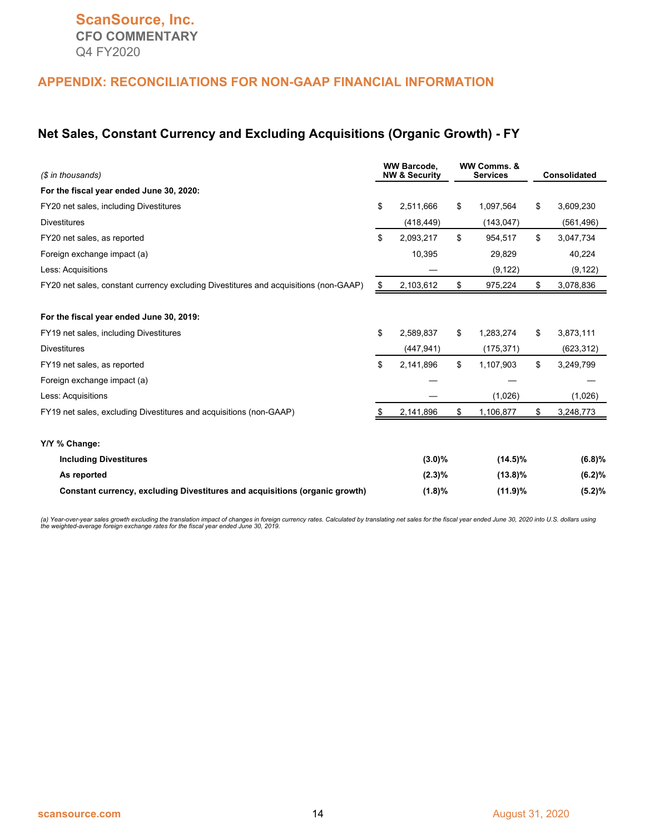#### **Net Sales, Constant Currency and Excluding Acquisitions (Organic Growth) - FY**

| (\$ in thousands)                                                                    |    | <b>WW Barcode.</b><br><b>NW &amp; Security</b> |    | WW Comms, &<br><b>Services</b> |    | <b>Consolidated</b> |
|--------------------------------------------------------------------------------------|----|------------------------------------------------|----|--------------------------------|----|---------------------|
| For the fiscal year ended June 30, 2020:                                             |    |                                                |    |                                |    |                     |
| FY20 net sales, including Divestitures                                               | \$ | 2.511.666                                      | \$ | 1,097,564                      | \$ | 3,609,230           |
| <b>Divestitures</b>                                                                  |    | (418, 449)                                     |    | (143, 047)                     |    | (561, 496)          |
| FY20 net sales, as reported                                                          | \$ | 2,093,217                                      | \$ | 954,517                        | \$ | 3,047,734           |
| Foreign exchange impact (a)                                                          |    | 10,395                                         |    | 29,829                         |    | 40,224              |
| Less: Acquisitions                                                                   |    |                                                |    | (9, 122)                       |    | (9, 122)            |
| FY20 net sales, constant currency excluding Divestitures and acquisitions (non-GAAP) | \$ | 2,103,612                                      | \$ | 975,224                        | \$ | 3,078,836           |
| For the fiscal year ended June 30, 2019:                                             |    |                                                |    |                                |    |                     |
| FY19 net sales, including Divestitures                                               | \$ | 2.589.837                                      | \$ | 1,283,274                      | \$ | 3,873,111           |
| <b>Divestitures</b>                                                                  |    | (447, 941)                                     |    | (175, 371)                     |    | (623, 312)          |
| FY19 net sales, as reported                                                          | \$ | 2,141,896                                      | \$ | 1,107,903                      | \$ | 3,249,799           |
| Foreign exchange impact (a)                                                          |    |                                                |    |                                |    |                     |
| Less: Acquisitions                                                                   |    |                                                |    | (1,026)                        |    | (1,026)             |
| FY19 net sales, excluding Divestitures and acquisitions (non-GAAP)                   |    | 2,141,896                                      | \$ | 1,106,877                      | S. | 3,248,773           |
| Y/Y % Change:                                                                        |    |                                                |    |                                |    |                     |
| <b>Including Divestitures</b>                                                        |    | $(3.0)\%$                                      |    | $(14.5)\%$                     |    | (6.8)%              |
| As reported                                                                          |    | $(2.3)\%$                                      |    | $(13.8)\%$                     |    | (6.2)%              |
| Constant currency, excluding Divestitures and acquisitions (organic growth)          |    | (1.8)%                                         |    | (11.9)%                        |    | (5.2)%              |

(a) Year-over-year sales growth excluding the translation impact of changes in foreign currency rates. Calculated by translating net sales for the fiscal year ended June 30, 2020 into U.S. dollars using<br>the weighted-averag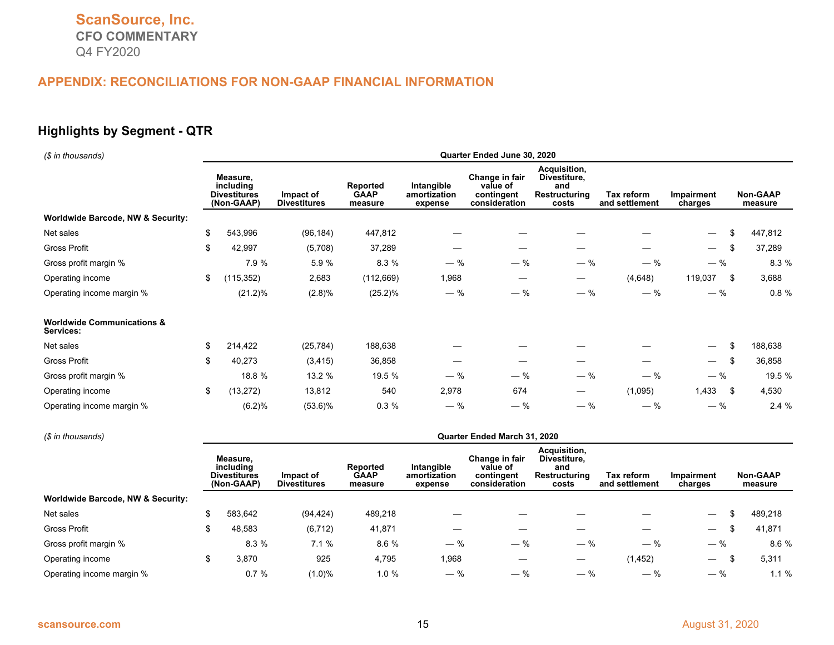# **Highlights by Segment - QTR**

| (\$ in thousands)                                  | Quarter Ended June 30, 2020 |                                                            |                                  |                                                                                    |                                       |                                                           |                                                               |                              |                              |                            |  |  |  |  |
|----------------------------------------------------|-----------------------------|------------------------------------------------------------|----------------------------------|------------------------------------------------------------------------------------|---------------------------------------|-----------------------------------------------------------|---------------------------------------------------------------|------------------------------|------------------------------|----------------------------|--|--|--|--|
|                                                    |                             | Measure,<br>including<br><b>Divestitures</b><br>(Non-GAAP) | Impact of<br><b>Divestitures</b> | <b>Reported</b><br>Intangible<br><b>GAAP</b><br>amortization<br>measure<br>expense |                                       | Change in fair<br>value of<br>contingent<br>consideration | Acquisition,<br>Divestiture,<br>and<br>Restructuring<br>costs | Tax reform<br>and settlement | <b>Impairment</b><br>charges | <b>Non-GAAP</b><br>measure |  |  |  |  |
| Worldwide Barcode, NW & Security:                  |                             |                                                            |                                  |                                                                                    |                                       |                                                           |                                                               |                              |                              |                            |  |  |  |  |
| Net sales                                          | \$                          | 543,996                                                    | (96, 184)                        | 447,812                                                                            |                                       |                                                           |                                                               |                              | $\overline{\phantom{0}}$     | \$<br>447,812              |  |  |  |  |
| <b>Gross Profit</b>                                | \$                          | 42,997                                                     | (5,708)                          | 37,289                                                                             |                                       |                                                           | —                                                             |                              | $\overline{\phantom{0}}$     | \$<br>37,289               |  |  |  |  |
| Gross profit margin %                              |                             | 7.9 %                                                      | 5.9%                             | 8.3 %                                                                              | $-$ %                                 | $-$ %                                                     | $-$ %                                                         | $-$ %                        | $-$ %                        | 8.3 %                      |  |  |  |  |
| Operating income                                   | \$                          | (115, 352)                                                 | 2,683                            | (112, 669)                                                                         | 1,968                                 |                                                           | $\qquad \qquad \longleftarrow$                                | (4,648)                      | 119,037                      | \$<br>3,688                |  |  |  |  |
| Operating income margin %                          |                             | $(21.2)\%$                                                 | (2.8)%                           | $(25.2)\%$                                                                         | $-$ %                                 | $-$ %                                                     | $-$ %                                                         | $-$ %                        | $-$ %                        | 0.8%                       |  |  |  |  |
| <b>Worldwide Communications &amp;</b><br>Services: |                             |                                                            |                                  |                                                                                    |                                       |                                                           |                                                               |                              |                              |                            |  |  |  |  |
| Net sales                                          | \$                          | 214,422                                                    | (25, 784)                        | 188,638                                                                            |                                       |                                                           |                                                               |                              | —                            | \$<br>188,638              |  |  |  |  |
| <b>Gross Profit</b>                                | \$                          | 40,273                                                     | (3, 415)                         | 36,858                                                                             |                                       |                                                           |                                                               |                              | $\overline{\phantom{0}}$     | \$<br>36,858               |  |  |  |  |
| Gross profit margin %                              |                             | 18.8 %                                                     | 13.2 %                           | 19.5 %                                                                             | $-$ %                                 | $-$ %                                                     | $-$ %                                                         | $-$ %                        | $-$ %                        | 19.5 %                     |  |  |  |  |
| Operating income                                   | \$                          | (13, 272)                                                  | 13,812                           | 540                                                                                | 2,978                                 | 674                                                       | —                                                             | (1,095)                      | 1.433                        | \$<br>4,530                |  |  |  |  |
| Operating income margin %                          |                             | (6.2)%                                                     | $(53.6)\%$                       | 0.3%                                                                               | $-$ %                                 | $-$ %                                                     | $-$ %                                                         | $-$ %                        | $-$ %                        | 2.4%                       |  |  |  |  |
| (\$ in thousands)                                  |                             |                                                            |                                  |                                                                                    |                                       | Quarter Ended March 31, 2020                              |                                                               |                              |                              |                            |  |  |  |  |
|                                                    |                             | Measure,<br>including<br>Divestitures<br>(Non-GAAP)        | Impact of<br><b>Divestitures</b> | Reported<br><b>GAAP</b><br>measure                                                 | Intangible<br>amortization<br>expense | Change in fair<br>value of<br>contingent<br>consideration | Acquisition,<br>Divestiture,<br>and<br>Restructuring<br>costs | Tax reform<br>and settlement | <b>Impairment</b><br>charges | Non-GAAP<br>measure        |  |  |  |  |
| Worldwide Barcode, NW & Security:                  |                             |                                                            |                                  |                                                                                    |                                       |                                                           |                                                               |                              |                              |                            |  |  |  |  |
| Net sales                                          | \$                          | 583,642                                                    | (94, 424)                        | 489,218                                                                            |                                       |                                                           |                                                               |                              | $\overline{\phantom{0}}$     | \$<br>489,218              |  |  |  |  |
| <b>Gross Profit</b>                                | \$                          | 48,583                                                     | (6, 712)                         | 41,871                                                                             |                                       |                                                           |                                                               |                              | $\overline{\phantom{0}}$     | \$<br>41.871               |  |  |  |  |
| Gross profit margin %                              |                             | 8.3 %                                                      | 7.1%                             | 8.6 %                                                                              | $-$ %                                 | $-$ %                                                     | $-$ %                                                         | $-$ %                        | $-$ %                        | 8.6 %                      |  |  |  |  |
| Operating income                                   | \$                          | 3,870                                                      | 925                              | 4,795                                                                              | 1,968                                 |                                                           |                                                               | (1, 452)                     | $\overline{\phantom{0}}$     | \$<br>5,311                |  |  |  |  |
| Operating income margin %                          |                             | 0.7%                                                       | (1.0)%                           | 1.0%                                                                               | $-$ %                                 | $-$ %                                                     | $-$ %                                                         | $-$ %                        | $-$ %                        | 1.1%                       |  |  |  |  |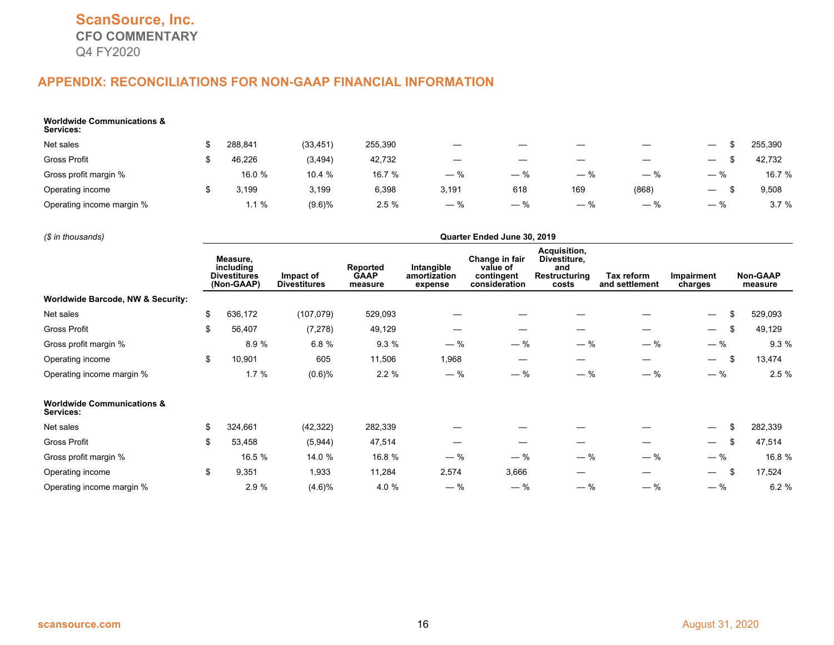| <b>Worldwide Communications &amp;</b><br>Services: |         |           |         |       |       |                          |       |                                 |         |
|----------------------------------------------------|---------|-----------|---------|-------|-------|--------------------------|-------|---------------------------------|---------|
| Net sales                                          | 288.841 | (33, 451) | 255,390 |       |       |                          |       |                                 | 255,390 |
| Gross Profit                                       | 46.226  | (3, 494)  | 42,732  |       |       | $\overline{\phantom{a}}$ |       | $\overline{\phantom{m}}$        | 42,732  |
| Gross profit margin %                              | 16.0 %  | 10.4 %    | 16.7 %  | $-$ % | $-$ % | $-$ %                    | $-$ % | $-$ %                           | 16.7 %  |
| Operating income                                   | 3,199   | 3,199     | 6,398   | 3,191 | 618   | 169                      | (868) | $\hspace{0.1mm}-\hspace{0.1mm}$ | 9,508   |
| Operating income margin %                          | 1.1%    | $(9.6)\%$ | 2.5%    | $-$ % | $-$ % | ℅                        |       | $\hspace{0.1mm}-\hspace{0.1mm}$ | 3.7%    |

*(\$ in thousands)* **Quarter Ended June 30, 2019**

|                                                    | Measure,<br>including<br><b>Divestitures</b><br>(Non-GAAP) | Impact of<br><b>Divestitures</b> | Reported<br><b>GAAP</b><br>measure | Intangible<br>amortization<br>expense | Change in fair<br>value of<br>contingent<br>consideration | Acquisition,<br>Divestiture,<br>and<br>Restructuring<br>costs | Tax reform<br>and settlement | Impairment<br>charges          | <b>Non-GAAP</b><br>measure |
|----------------------------------------------------|------------------------------------------------------------|----------------------------------|------------------------------------|---------------------------------------|-----------------------------------------------------------|---------------------------------------------------------------|------------------------------|--------------------------------|----------------------------|
| <b>Worldwide Barcode, NW &amp; Security:</b>       |                                                            |                                  |                                    |                                       |                                                           |                                                               |                              |                                |                            |
| Net sales                                          | \$<br>636,172                                              | (107,079)                        | 529,093                            |                                       |                                                           |                                                               |                              | \$<br>$\overline{\phantom{m}}$ | 529,093                    |
| Gross Profit                                       | \$<br>56,407                                               | (7, 278)                         | 49,129                             |                                       |                                                           |                                                               |                              | \$<br>$\overline{\phantom{m}}$ | 49,129                     |
| Gross profit margin %                              | 8.9%                                                       | 6.8%                             | 9.3%                               | $-$ %                                 | $-$ %                                                     | $-$ %                                                         | $-$ %                        | $-$ %                          | 9.3%                       |
| Operating income                                   | \$<br>10,901                                               | 605                              | 11,506                             | 1,968                                 |                                                           |                                                               |                              | \$<br>$\overline{\phantom{0}}$ | 13,474                     |
| Operating income margin %                          | 1.7%                                                       | (0.6)%                           | 2.2%                               | $-$ %                                 | $-$ %                                                     | $-$ %                                                         | $-$ %                        | $-$ %                          | 2.5%                       |
| <b>Worldwide Communications &amp;</b><br>Services: |                                                            |                                  |                                    |                                       |                                                           |                                                               |                              |                                |                            |
| Net sales                                          | \$<br>324,661                                              | (42, 322)                        | 282,339                            |                                       |                                                           |                                                               |                              | \$                             | 282,339                    |
| Gross Profit                                       | \$<br>53,458                                               | (5,944)                          | 47,514                             |                                       |                                                           |                                                               |                              | \$                             | 47,514                     |
| Gross profit margin %                              | 16.5 %                                                     | 14.0 %                           | 16.8 %                             | $-$ %                                 | $-$ %                                                     | $-$ %                                                         | $-$ %                        | $-$ %                          | 16.8 %                     |
| Operating income                                   | \$<br>9,351                                                | 1,933                            | 11,284                             | 2,574                                 | 3,666                                                     |                                                               |                              | \$<br>$\overline{\phantom{0}}$ | 17,524                     |
| Operating income margin %                          | 2.9 %                                                      | (4.6)%                           | 4.0 %                              | $-$ %                                 | $-$ %                                                     | $-$ %                                                         | $-$ %                        | $-$ %                          | 6.2%                       |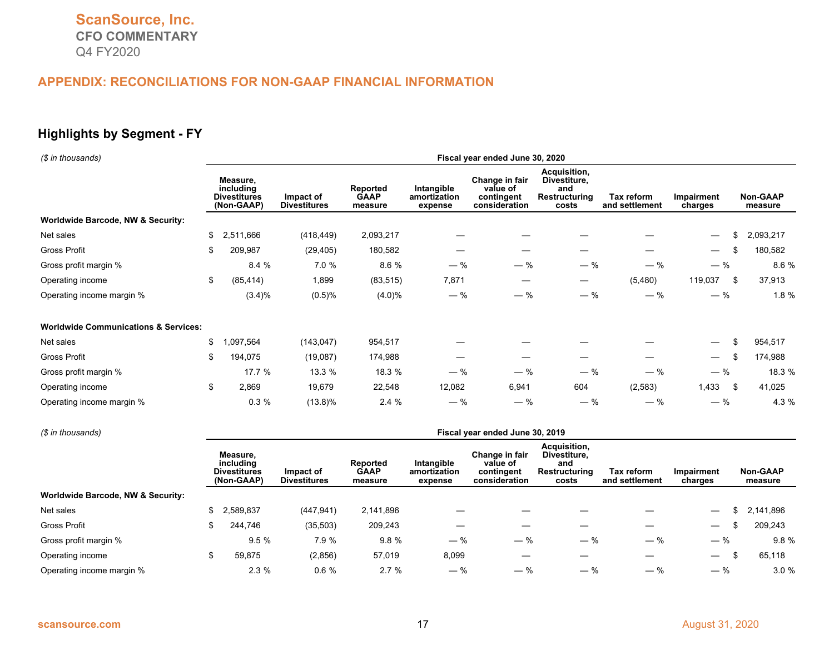# **Highlights by Segment - FY**

| (\$ in thousands)                               | Fiscal year ended June 30, 2020                            |           |                                  |                                    |                                       |                                                           |                                                               |                                     |                                       |                            |  |  |  |
|-------------------------------------------------|------------------------------------------------------------|-----------|----------------------------------|------------------------------------|---------------------------------------|-----------------------------------------------------------|---------------------------------------------------------------|-------------------------------------|---------------------------------------|----------------------------|--|--|--|
|                                                 | Measure,<br>including<br><b>Divestitures</b><br>(Non-GAAP) |           | Impact of<br><b>Divestitures</b> | Reported<br><b>GAAP</b><br>measure | Intangible<br>amortization<br>expense | Change in fair<br>value of<br>contingent<br>consideration | Acquisition,<br>Divestiture,<br>and<br>Restructuring<br>costs | <b>Tax reform</b><br>and settlement | Impairment<br>charges                 | <b>Non-GAAP</b><br>measure |  |  |  |
| <b>Worldwide Barcode, NW &amp; Security:</b>    |                                                            |           |                                  |                                    |                                       |                                                           |                                                               |                                     |                                       |                            |  |  |  |
| Net sales                                       | \$                                                         | 2,511,666 | (418, 449)                       | 2,093,217                          |                                       |                                                           |                                                               |                                     |                                       | 2,093,217                  |  |  |  |
| Gross Profit                                    | \$                                                         | 209,987   | (29, 405)                        | 180,582                            |                                       |                                                           |                                                               |                                     | \$<br>$\overline{\phantom{0}}$        | 180,582                    |  |  |  |
| Gross profit margin %                           |                                                            | 8.4 %     | 7.0 %                            | 8.6 %                              | $-$ %                                 | $-$ %                                                     | $-$ %                                                         | $-$ %                               | $-$ %                                 | 8.6 %                      |  |  |  |
| Operating income                                | \$                                                         | (85, 414) | 1,899                            | (83, 515)                          | 7,871                                 |                                                           |                                                               | (5,480)                             | 119,037<br>- \$                       | 37,913                     |  |  |  |
| Operating income margin %                       |                                                            | $(3.4)\%$ | $(0.5)\%$                        | $(4.0)\%$                          | $-$ %                                 | $-$ %                                                     | $-$ %                                                         | $-$ %                               | $-$ %                                 | 1.8 %                      |  |  |  |
| <b>Worldwide Communications &amp; Services:</b> |                                                            |           |                                  |                                    |                                       |                                                           |                                                               |                                     |                                       |                            |  |  |  |
| Net sales                                       | \$                                                         | ,097,564  | (143, 047)                       | 954,517                            |                                       |                                                           |                                                               |                                     | \$                                    | 954,517                    |  |  |  |
| Gross Profit                                    | \$                                                         | 194,075   | (19,087)                         | 174,988                            |                                       |                                                           |                                                               |                                     | \$<br>$\hspace{0.1mm}-\hspace{0.1mm}$ | 174,988                    |  |  |  |
| Gross profit margin %                           |                                                            | 17.7 %    | 13.3 %                           | 18.3 %                             | $-$ %                                 | $-$ %                                                     | $-$ %                                                         | $-$ %                               | $-$ %                                 | 18.3 %                     |  |  |  |
| Operating income                                | \$                                                         | 2,869     | 19,679                           | 22,548                             | 12,082                                | 6,941                                                     | 604                                                           | (2,583)                             | 1,433<br>- \$                         | 41,025                     |  |  |  |
| Operating income margin %                       |                                                            | 0.3%      | $(13.8)\%$                       | 2.4%                               | $-$ %                                 | $-$ %                                                     | $-$ %                                                         | $-$ %                               | $-$ %                                 | 4.3 %                      |  |  |  |

| (\$ in thousands)                 | Fiscal year ended June 30, 2019                            |                                  |                                    |                                       |                                                           |                                                               |                              |                               |                            |  |  |  |  |
|-----------------------------------|------------------------------------------------------------|----------------------------------|------------------------------------|---------------------------------------|-----------------------------------------------------------|---------------------------------------------------------------|------------------------------|-------------------------------|----------------------------|--|--|--|--|
|                                   | Measure.<br>including<br><b>Divestitures</b><br>(Non-GAAP) | Impact of<br><b>Divestitures</b> | Reported<br><b>GAAP</b><br>measure | Intangible<br>amortization<br>expense | Change in fair<br>value of<br>contingent<br>consideration | Acquisition,<br>Divestiture.<br>and<br>Restructuring<br>costs | Tax reform<br>and settlement | Impairment<br>charges         | <b>Non-GAAP</b><br>measure |  |  |  |  |
| Worldwide Barcode, NW & Security: |                                                            |                                  |                                    |                                       |                                                           |                                                               |                              |                               |                            |  |  |  |  |
| Net sales                         | 2,589,837                                                  | (447, 941)                       | 2,141,896                          |                                       |                                                           |                                                               |                              |                               | 2,141,896                  |  |  |  |  |
| <b>Gross Profit</b>               | 244,746                                                    | (35, 503)                        | 209,243                            |                                       |                                                           |                                                               |                              |                               | 209,243                    |  |  |  |  |
| Gross profit margin %             | 9.5%                                                       | 7.9 %                            | 9.8%                               | $-$ %                                 | $-$ %                                                     | $-$ %                                                         | $-$ %                        | $-$ %                         | 9.8%                       |  |  |  |  |
| Operating income                  | 59,875                                                     | (2,856)                          | 57,019                             | 8,099                                 |                                                           |                                                               |                              | $\overbrace{\phantom{12333}}$ | 65,118                     |  |  |  |  |
| Operating income margin %         | 2.3%                                                       | 0.6%                             | 2.7%                               | $-$ %                                 | $-$ %                                                     | $-$ %                                                         | $-$ %                        | $-$ %                         | 3.0%                       |  |  |  |  |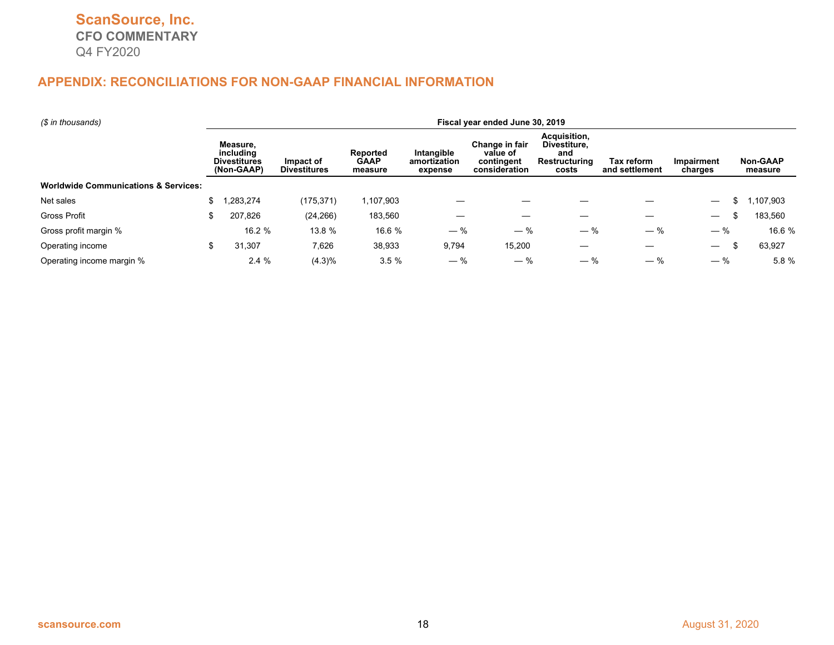| (\$ in thousands)                               |   | Fiscal year ended June 30, 2019                                                                                                                                                                                                                                                                                    |            |                              |                              |                            |       |       |                                |          |  |  |  |
|-------------------------------------------------|---|--------------------------------------------------------------------------------------------------------------------------------------------------------------------------------------------------------------------------------------------------------------------------------------------------------------------|------------|------------------------------|------------------------------|----------------------------|-------|-------|--------------------------------|----------|--|--|--|
|                                                 |   | Acquisition,<br>Measure.<br>Change in fair<br>Divestiture.<br>Intangible<br>including<br><b>Reported</b><br>value of<br>and<br><b>GAAP</b><br><b>Divestitures</b><br>Restructuring<br>Impact of<br>amortization<br>contingent<br>(Non-GAAP)<br><b>Divestitures</b><br>consideration<br>costs<br>measure<br>expense |            | Tax reform<br>and settlement | <b>Impairment</b><br>charges | <b>Non-GAAP</b><br>measure |       |       |                                |          |  |  |  |
| <b>Worldwide Communications &amp; Services:</b> |   |                                                                                                                                                                                                                                                                                                                    |            |                              |                              |                            |       |       |                                |          |  |  |  |
| Net sales                                       |   | ,283,274                                                                                                                                                                                                                                                                                                           | (175, 371) | 107,903                      |                              |                            |       |       | $\overline{\phantom{0}}$       | ,107,903 |  |  |  |
| <b>Gross Profit</b>                             |   | 207,826                                                                                                                                                                                                                                                                                                            | (24, 266)  | 183,560                      |                              |                            |       |       | ъ.                             | 183,560  |  |  |  |
| Gross profit margin %                           |   | 16.2 %                                                                                                                                                                                                                                                                                                             | 13.8 %     | 16.6 %                       | $-$ %                        | $-$ %                      | $-$ % | $-$ % | $-$ %                          | 16.6 %   |  |  |  |
| Operating income                                | S | 31,307                                                                                                                                                                                                                                                                                                             | 7,626      | 38,933                       | 9,794                        | 15,200                     |       |       | $\overline{\phantom{0}}$<br>ж. | 63,927   |  |  |  |
| Operating income margin %                       |   | 2.4%                                                                                                                                                                                                                                                                                                               | $(4.3)\%$  | 3.5%                         | $-$ %                        | — %                        | $-$ % | $-$ % | $-$ %                          | 5.8 %    |  |  |  |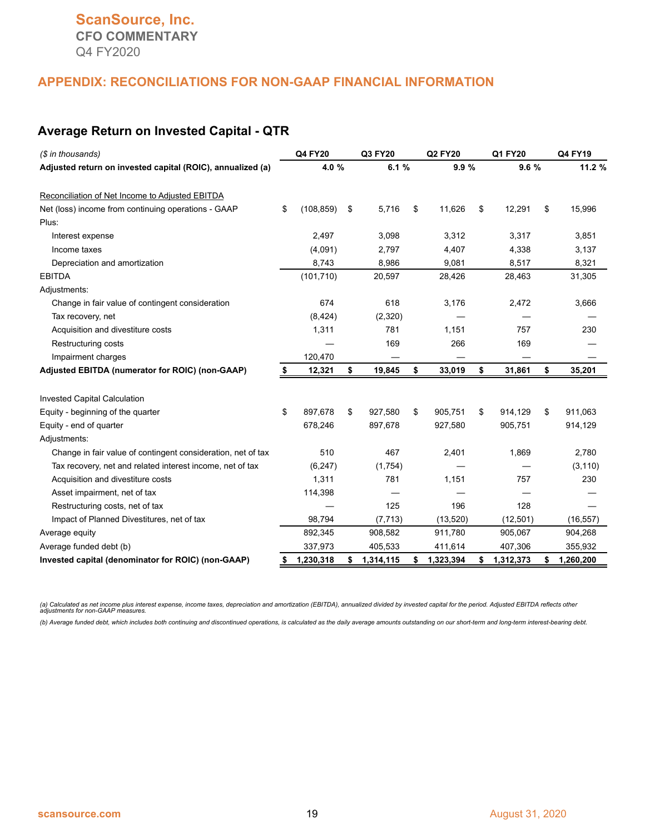#### **Average Return on Invested Capital - QTR**

| (\$ in thousands)                                            |    | Q4 FY20    | Q3 FY20         | <b>Q2 FY20</b>  |    | Q1 FY20   | Q4 FY19         |
|--------------------------------------------------------------|----|------------|-----------------|-----------------|----|-----------|-----------------|
| Adjusted return on invested capital (ROIC), annualized (a)   |    | 4.0 %      | 6.1 %           | 9.9%            |    | 9.6%      | 11.2 %          |
| Reconciliation of Net Income to Adjusted EBITDA              |    |            |                 |                 |    |           |                 |
| Net (loss) income from continuing operations - GAAP          | \$ | (108, 859) | \$<br>5,716     | \$<br>11,626    | \$ | 12,291    | \$<br>15,996    |
| Plus:                                                        |    |            |                 |                 |    |           |                 |
| Interest expense                                             |    | 2,497      | 3,098           | 3,312           |    | 3,317     | 3,851           |
| Income taxes                                                 |    | (4,091)    | 2,797           | 4,407           |    | 4,338     | 3,137           |
| Depreciation and amortization                                |    | 8,743      | 8,986           | 9,081           |    | 8,517     | 8,321           |
| <b>EBITDA</b>                                                |    | (101, 710) | 20,597          | 28,426          |    | 28,463    | 31,305          |
| Adjustments:                                                 |    |            |                 |                 |    |           |                 |
| Change in fair value of contingent consideration             |    | 674        | 618             | 3,176           |    | 2,472     | 3,666           |
| Tax recovery, net                                            |    | (8, 424)   | (2,320)         |                 |    |           |                 |
| Acquisition and divestiture costs                            |    | 1,311      | 781             | 1,151           |    | 757       | 230             |
| Restructuring costs                                          |    |            | 169             | 266             |    | 169       |                 |
| Impairment charges                                           |    | 120,470    |                 |                 |    |           |                 |
| Adjusted EBITDA (numerator for ROIC) (non-GAAP)              |    | 12,321     | \$<br>19,845    | \$<br>33,019    | \$ | 31,861    | \$<br>35,201    |
| <b>Invested Capital Calculation</b>                          |    |            |                 |                 |    |           |                 |
| Equity - beginning of the quarter                            | \$ | 897.678    | \$<br>927,580   | \$<br>905,751   | \$ | 914,129   | \$<br>911,063   |
| Equity - end of quarter                                      |    | 678,246    | 897,678         | 927,580         |    | 905,751   | 914,129         |
| Adjustments:                                                 |    |            |                 |                 |    |           |                 |
| Change in fair value of contingent consideration, net of tax |    | 510        | 467             | 2,401           |    | 1,869     | 2,780           |
| Tax recovery, net and related interest income, net of tax    |    | (6, 247)   | (1,754)         |                 |    |           | (3, 110)        |
| Acquisition and divestiture costs                            |    | 1,311      | 781             | 1,151           |    | 757       | 230             |
| Asset impairment, net of tax                                 |    | 114,398    |                 |                 |    |           |                 |
| Restructuring costs, net of tax                              |    |            | 125             | 196             |    | 128       |                 |
| Impact of Planned Divestitures, net of tax                   |    | 98,794     | (7, 713)        | (13,520)        |    | (12, 501) | (16, 557)       |
| Average equity                                               |    | 892,345    | 908,582         | 911,780         |    | 905,067   | 904,268         |
| Average funded debt (b)                                      |    | 337,973    | 405,533         | 411,614         |    | 407,306   | 355,932         |
| Invested capital (denominator for ROIC) (non-GAAP)           | S  | 1,230,318  | \$<br>1,314,115 | \$<br>1,323,394 | \$ | 1,312,373 | \$<br>1,260,200 |

(a) Calculated as net income plus interest expense, income taxes, depreciation and amortization (EBITDA), annualized divided by invested capital for the period. Adjusted EBITDA reflects other<br>adjustments for non-GAAP measu

*(b) Average funded debt, which includes both continuing and discontinued operations, is calculated as the daily average amounts outstanding on our short-term and long-term interest-bearing debt.*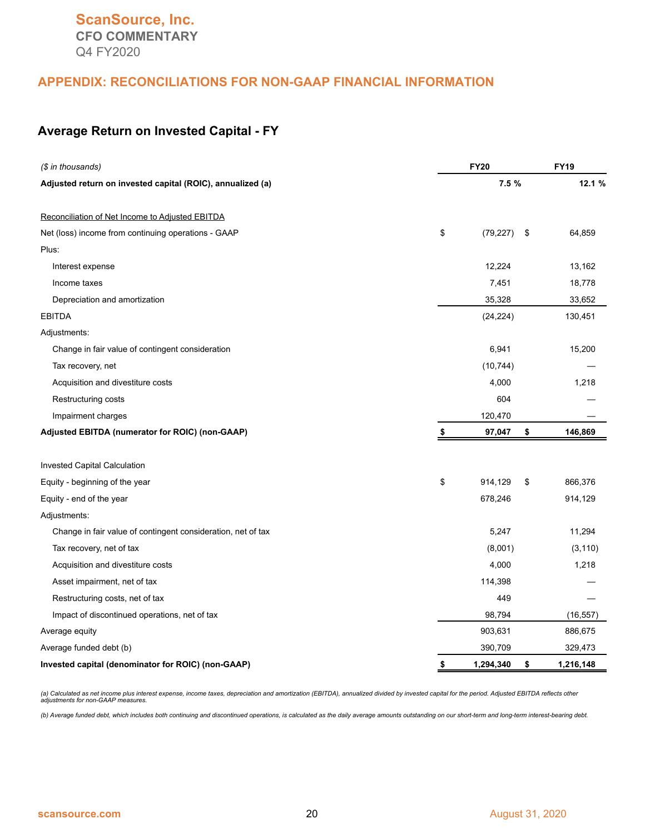#### **Average Return on Invested Capital - FY**

| (\$ in thousands)                                            | <b>FY20</b>     |                 |  |  |  |
|--------------------------------------------------------------|-----------------|-----------------|--|--|--|
| Adjusted return on invested capital (ROIC), annualized (a)   | 7.5 %           | 12.1 %          |  |  |  |
| Reconciliation of Net Income to Adjusted EBITDA              |                 |                 |  |  |  |
| Net (loss) income from continuing operations - GAAP          | \$<br>(79, 227) | \$<br>64,859    |  |  |  |
| Plus:                                                        |                 |                 |  |  |  |
| Interest expense                                             | 12,224          | 13,162          |  |  |  |
| Income taxes                                                 | 7,451           | 18,778          |  |  |  |
| Depreciation and amortization                                | 35,328          | 33,652          |  |  |  |
| <b>EBITDA</b>                                                | (24, 224)       | 130,451         |  |  |  |
| Adjustments:                                                 |                 |                 |  |  |  |
| Change in fair value of contingent consideration             | 6,941           | 15,200          |  |  |  |
| Tax recovery, net                                            | (10, 744)       |                 |  |  |  |
| Acquisition and divestiture costs                            | 4,000           | 1,218           |  |  |  |
| Restructuring costs                                          | 604             |                 |  |  |  |
| Impairment charges                                           | 120,470         |                 |  |  |  |
| Adjusted EBITDA (numerator for ROIC) (non-GAAP)              | \$<br>97,047    | \$<br>146,869   |  |  |  |
| Invested Capital Calculation                                 |                 |                 |  |  |  |
| Equity - beginning of the year                               | \$<br>914,129   | \$<br>866,376   |  |  |  |
| Equity - end of the year                                     | 678,246         | 914,129         |  |  |  |
| Adjustments:                                                 |                 |                 |  |  |  |
| Change in fair value of contingent consideration, net of tax | 5,247           | 11,294          |  |  |  |
| Tax recovery, net of tax                                     | (8,001)         | (3, 110)        |  |  |  |
| Acquisition and divestiture costs                            | 4,000           | 1,218           |  |  |  |
| Asset impairment, net of tax                                 | 114,398         |                 |  |  |  |
| Restructuring costs, net of tax                              | 449             |                 |  |  |  |
| Impact of discontinued operations, net of tax                | 98,794          | (16, 557)       |  |  |  |
| Average equity                                               | 903,631         | 886,675         |  |  |  |
| Average funded debt (b)                                      | 390,709         | 329,473         |  |  |  |
| Invested capital (denominator for ROIC) (non-GAAP)           | \$<br>1,294,340 | \$<br>1,216,148 |  |  |  |

(a) Calculated as net income plus interest expense, income taxes, depreciation and amortization (EBITDA), annualized divided by invested capital for the period. Adjusted EBITDA reflects other<br>adjustments for non-GAAP measu

*(b) Average funded debt, which includes both continuing and discontinued operations, is calculated as the daily average amounts outstanding on our short-term and long-term interest-bearing debt.*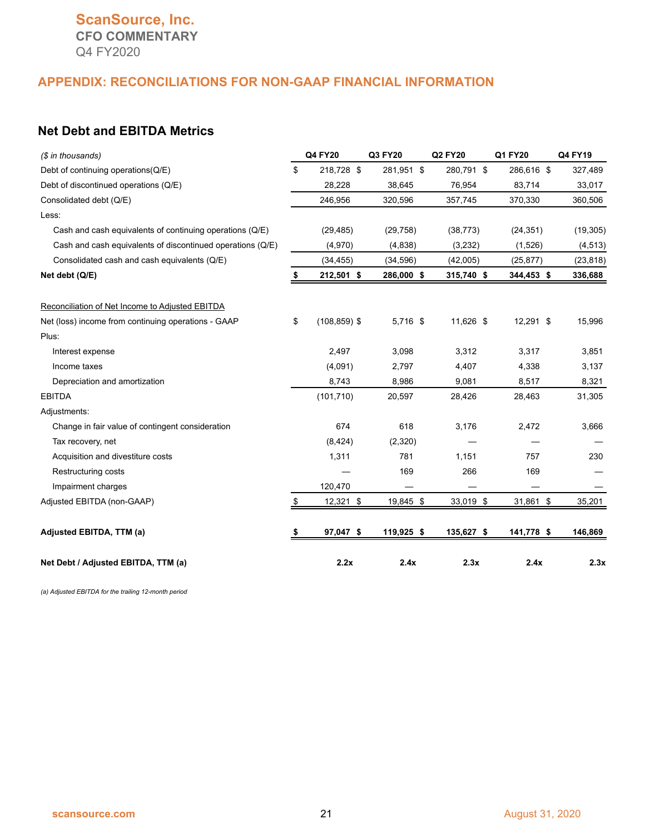## **ScanSource, Inc. CFO COMMENTARY** Q4 FY2020

#### **APPENDIX: RECONCILIATIONS FOR NON-GAAP FINANCIAL INFORMATION**

## **Net Debt and EBITDA Metrics**

| (\$ in thousands)                                          | Q4 FY20               | Q3 FY20    | Q2 FY20    | Q1 FY20    | Q4 FY19   |
|------------------------------------------------------------|-----------------------|------------|------------|------------|-----------|
| Debt of continuing operations(Q/E)                         | \$<br>218,728 \$      | 281,951 \$ | 280,791 \$ | 286,616 \$ | 327,489   |
| Debt of discontinued operations (Q/E)                      | 28,228                | 38,645     | 76,954     | 83,714     | 33,017    |
| Consolidated debt (Q/E)                                    | 246,956               | 320,596    | 357,745    | 370,330    | 360,506   |
| Less:                                                      |                       |            |            |            |           |
| Cash and cash equivalents of continuing operations (Q/E)   | (29, 485)             | (29, 758)  | (38, 773)  | (24, 351)  | (19, 305) |
| Cash and cash equivalents of discontinued operations (Q/E) | (4,970)               | (4,838)    | (3,232)    | (1,526)    | (4, 513)  |
| Consolidated cash and cash equivalents (Q/E)               | (34, 455)             | (34, 596)  | (42,005)   | (25, 877)  | (23, 818) |
| Net debt (Q/E)                                             | 212,501 \$            | 286,000 \$ | 315,740 \$ | 344,453 \$ | 336,688   |
| Reconciliation of Net Income to Adjusted EBITDA            |                       |            |            |            |           |
| Net (loss) income from continuing operations - GAAP        | \$<br>$(108, 859)$ \$ | 5,716 \$   | 11,626 \$  | 12,291 \$  | 15,996    |
| Plus:                                                      |                       |            |            |            |           |
| Interest expense                                           | 2,497                 | 3,098      | 3,312      | 3,317      | 3,851     |
| Income taxes                                               | (4,091)               | 2,797      | 4,407      | 4,338      | 3,137     |
| Depreciation and amortization                              | 8,743                 | 8,986      | 9,081      | 8,517      | 8,321     |
| <b>EBITDA</b>                                              | (101, 710)            | 20,597     | 28,426     | 28,463     | 31,305    |
| Adjustments:                                               |                       |            |            |            |           |
| Change in fair value of contingent consideration           | 674                   | 618        | 3,176      | 2,472      | 3,666     |
| Tax recovery, net                                          | (8, 424)              | (2,320)    |            |            |           |
| Acquisition and divestiture costs                          | 1,311                 | 781        | 1,151      | 757        | 230       |
| Restructuring costs                                        |                       | 169        | 266        | 169        |           |
| Impairment charges                                         | 120,470               |            |            |            |           |
| Adjusted EBITDA (non-GAAP)                                 | \$<br>12,321 \$       | 19,845 \$  | 33,019 \$  | 31,861 \$  | 35,201    |
| Adjusted EBITDA, TTM (a)                                   | 97,047 \$             | 119,925 \$ | 135,627 \$ | 141,778 \$ | 146,869   |
| Net Debt / Adjusted EBITDA, TTM (a)                        | 2.2x                  | 2.4x       | 2.3x       | 2.4x       | 2.3x      |

*(a) Adjusted EBITDA for the trailing 12-month period*